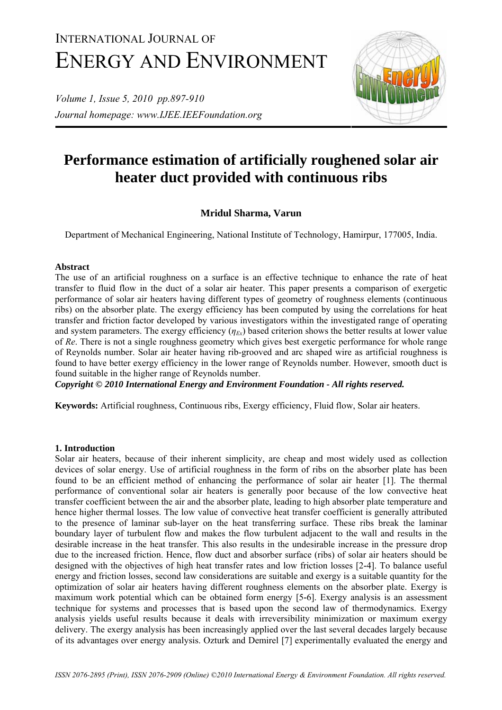# INTERNATIONAL JOURNAL OF ENERGY AND ENVIRONMENT

*Volume 1, Issue 5, 2010 pp.897-910 Journal homepage: www.IJEE.IEEFoundation.org* 



# **Performance estimation of artificially roughened solar air heater duct provided with continuous ribs**

# **Mridul Sharma, Varun**

Department of Mechanical Engineering, National Institute of Technology, Hamirpur, 177005, India.

## **Abstract**

The use of an artificial roughness on a surface is an effective technique to enhance the rate of heat transfer to fluid flow in the duct of a solar air heater. This paper presents a comparison of exergetic performance of solar air heaters having different types of geometry of roughness elements (continuous ribs) on the absorber plate. The exergy efficiency has been computed by using the correlations for heat transfer and friction factor developed by various investigators within the investigated range of operating and system parameters. The exergy efficiency  $(\eta_{F_x})$  based criterion shows the better results at lower value of *Re*. There is not a single roughness geometry which gives best exergetic performance for whole range of Reynolds number. Solar air heater having rib-grooved and arc shaped wire as artificial roughness is found to have better exergy efficiency in the lower range of Reynolds number. However, smooth duct is found suitable in the higher range of Reynolds number.

*Copyright © 2010 International Energy and Environment Foundation - All rights reserved.*

**Keywords:** Artificial roughness, Continuous ribs, Exergy efficiency, Fluid flow, Solar air heaters.

## **1. Introduction**

Solar air heaters, because of their inherent simplicity, are cheap and most widely used as collection devices of solar energy. Use of artificial roughness in the form of ribs on the absorber plate has been found to be an efficient method of enhancing the performance of solar air heater [1]. The thermal performance of conventional solar air heaters is generally poor because of the low convective heat transfer coefficient between the air and the absorber plate, leading to high absorber plate temperature and hence higher thermal losses. The low value of convective heat transfer coefficient is generally attributed to the presence of laminar sub-layer on the heat transferring surface. These ribs break the laminar boundary layer of turbulent flow and makes the flow turbulent adjacent to the wall and results in the desirable increase in the heat transfer. This also results in the undesirable increase in the pressure drop due to the increased friction. Hence, flow duct and absorber surface (ribs) of solar air heaters should be designed with the objectives of high heat transfer rates and low friction losses [2**-**4]. To balance useful energy and friction losses, second law considerations are suitable and exergy is a suitable quantity for the optimization of solar air heaters having different roughness elements on the absorber plate. Exergy is maximum work potential which can be obtained form energy [5**-**6]. Exergy analysis is an assessment technique for systems and processes that is based upon the second law of thermodynamics. Exergy analysis yields useful results because it deals with irreversibility minimization or maximum exergy delivery. The exergy analysis has been increasingly applied over the last several decades largely because of its advantages over energy analysis. Ozturk and Demirel [7] experimentally evaluated the energy and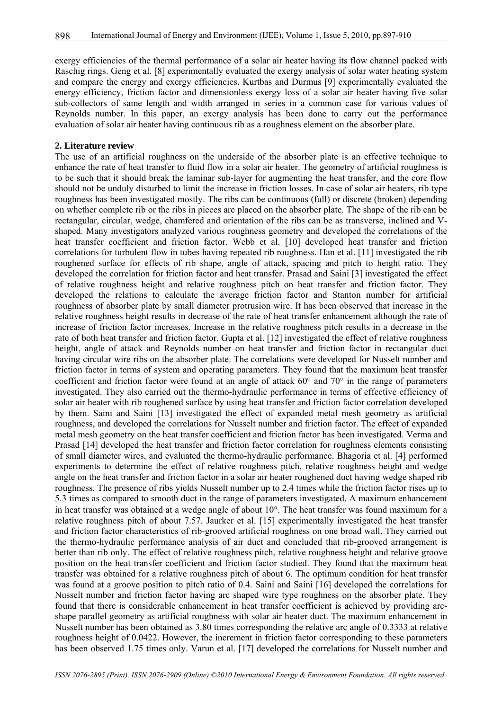exergy efficiencies of the thermal performance of a solar air heater having its flow channel packed with Raschig rings. Geng et al. [8] experimentally evaluated the exergy analysis of solar water heating system and compare the energy and exergy efficiencies. Kurtbas and Durmus [9] experimentally evaluated the energy efficiency, friction factor and dimensionless exergy loss of a solar air heater having five solar sub-collectors of same length and width arranged in series in a common case for various values of Reynolds number. In this paper, an exergy analysis has been done to carry out the performance evaluation of solar air heater having continuous rib as a roughness element on the absorber plate.

#### **2. Literature review**

The use of an artificial roughness on the underside of the absorber plate is an effective technique to enhance the rate of heat transfer to fluid flow in a solar air heater. The geometry of artificial roughness is to be such that it should break the laminar sub-layer for augmenting the heat transfer, and the core flow should not be unduly disturbed to limit the increase in friction losses. In case of solar air heaters, rib type roughness has been investigated mostly. The ribs can be continuous (full) or discrete (broken) depending on whether complete rib or the ribs in pieces are placed on the absorber plate. The shape of the rib can be rectangular, circular, wedge, chamfered and orientation of the ribs can be as transverse, inclined and Vshaped. Many investigators analyzed various roughness geometry and developed the correlations of the heat transfer coefficient and friction factor. Webb et al. [10] developed heat transfer and friction correlations for turbulent flow in tubes having repeated rib roughness. Han et al. [11] investigated the rib roughened surface for effects of rib shape, angle of attack, spacing and pitch to height ratio. They developed the correlation for friction factor and heat transfer. Prasad and Saini [3] investigated the effect of relative roughness height and relative roughness pitch on heat transfer and friction factor. They developed the relations to calculate the average friction factor and Stanton number for artificial roughness of absorber plate by small diameter protrusion wire. It has been observed that increase in the relative roughness height results in decrease of the rate of heat transfer enhancement although the rate of increase of friction factor increases. Increase in the relative roughness pitch results in a decrease in the rate of both heat transfer and friction factor. Gupta et al. [12] investigated the effect of relative roughness height, angle of attack and Reynolds number on heat transfer and friction factor in rectangular duct having circular wire ribs on the absorber plate. The correlations were developed for Nusselt number and friction factor in terms of system and operating parameters. They found that the maximum heat transfer coefficient and friction factor were found at an angle of attack 60° and 70° in the range of parameters investigated. They also carried out the thermo-hydraulic performance in terms of effective efficiency of solar air heater with rib roughened surface by using heat transfer and friction factor correlation developed by them. Saini and Saini [13] investigated the effect of expanded metal mesh geometry as artificial roughness, and developed the correlations for Nusselt number and friction factor. The effect of expanded metal mesh geometry on the heat transfer coefficient and friction factor has been investigated. Verma and Prasad [14] developed the heat transfer and friction factor correlation for roughness elements consisting of small diameter wires, and evaluated the thermo-hydraulic performance. Bhagoria et al. [4] performed experiments to determine the effect of relative roughness pitch, relative roughness height and wedge angle on the heat transfer and friction factor in a solar air heater roughened duct having wedge shaped rib roughness. The presence of ribs yields Nusselt number up to 2.4 times while the friction factor rises up to 5.3 times as compared to smooth duct in the range of parameters investigated. A maximum enhancement in heat transfer was obtained at a wedge angle of about 10°. The heat transfer was found maximum for a relative roughness pitch of about 7.57. Jaurker et al. [15] experimentally investigated the heat transfer and friction factor characteristics of rib-grooved artificial roughness on one broad wall. They carried out the thermo-hydraulic performance analysis of air duct and concluded that rib-grooved arrangement is better than rib only. The effect of relative roughness pitch, relative roughness height and relative groove position on the heat transfer coefficient and friction factor studied. They found that the maximum heat transfer was obtained for a relative roughness pitch of about 6. The optimum condition for heat transfer was found at a groove position to pitch ratio of 0.4. Saini and Saini [16] developed the correlations for Nusselt number and friction factor having arc shaped wire type roughness on the absorber plate. They found that there is considerable enhancement in heat transfer coefficient is achieved by providing arcshape parallel geometry as artificial roughness with solar air heater duct. The maximum enhancement in Nusselt number has been obtained as 3.80 times corresponding the relative arc angle of 0.3333 at relative roughness height of 0.0422. However, the increment in friction factor corresponding to these parameters has been observed 1.75 times only. Varun et al. [17] developed the correlations for Nusselt number and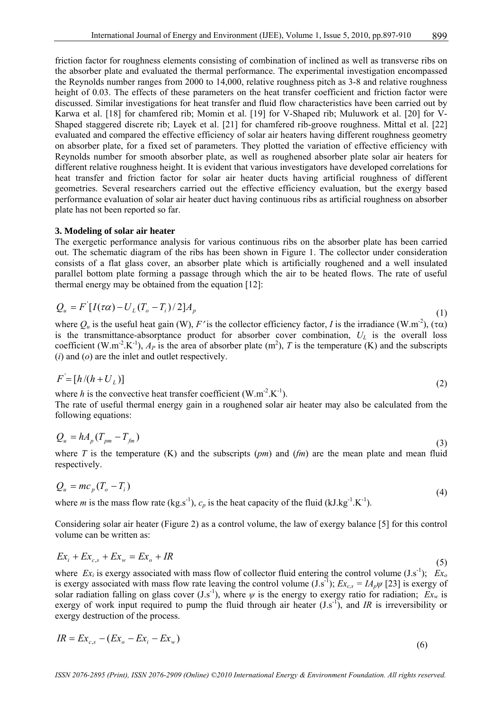friction factor for roughness elements consisting of combination of inclined as well as transverse ribs on the absorber plate and evaluated the thermal performance. The experimental investigation encompassed the Reynolds number ranges from 2000 to 14,000, relative roughness pitch as 3-8 and relative roughness height of 0.03. The effects of these parameters on the heat transfer coefficient and friction factor were discussed. Similar investigations for heat transfer and fluid flow characteristics have been carried out by Karwa et al. [18] for chamfered rib; Momin et al. [19] for V-Shaped rib; Muluwork et al. [20] for V-Shaped staggered discrete rib; Layek et al. [21] for chamfered rib-groove roughness. Mittal et al. [22] evaluated and compared the effective efficiency of solar air heaters having different roughness geometry on absorber plate, for a fixed set of parameters. They plotted the variation of effective efficiency with Reynolds number for smooth absorber plate, as well as roughened absorber plate solar air heaters for different relative roughness height. It is evident that various investigators have developed correlations for heat transfer and friction factor for solar air heater ducts having artificial roughness of different geometries. Several researchers carried out the effective efficiency evaluation, but the exergy based performance evaluation of solar air heater duct having continuous ribs as artificial roughness on absorber plate has not been reported so far.

#### **3. Modeling of solar air heater**

The exergetic performance analysis for various continuous ribs on the absorber plate has been carried out. The schematic diagram of the ribs has been shown in Figure 1. The collector under consideration consists of a flat glass cover, an absorber plate which is artificially roughened and a well insulated parallel bottom plate forming a passage through which the air to be heated flows. The rate of useful thermal energy may be obtained from the equation [12]:

$$
Q_u = F'[I(\tau\alpha) - U_L(T_o - T_i)/2]A_p
$$
\n
$$
(1)
$$

where  $Q_u$  is the useful heat gain (W), *F'* is the collector efficiency factor, *I* is the irradiance (W.m<sup>-2</sup>), ( $\tau \alpha$ ) is the transmittance-absorptance product for absorber cover combination,  $U_L$  is the overall loss coefficient (W.m<sup>-2</sup>.K<sup>-1</sup>),  $A_P$  is the area of absorber plate (m<sup>2</sup>), *T* is the temperature (K) and the subscripts (*i*) and (*o*) are the inlet and outlet respectively.

$$
F = [h/(h + U_L)] \tag{2}
$$

where *h* is the convective heat transfer coefficient  $(W.m<sup>-2</sup>, K<sup>-1</sup>)$ . The rate of useful thermal energy gain in a roughened solar air heater may also be calculated from the following equations:

$$
Q_u = h A_p (T_{pm} - T_{fm})
$$
\n<sup>(3)</sup>

where *T* is the temperature  $(K)$  and the subscripts  $(pm)$  and  $(fm)$  are the mean plate and mean fluid respectively.

$$
Q_u = mc_p \left( T_o - T_i \right) \tag{4}
$$

where *m* is the mass flow rate (kg.s<sup>-1</sup>),  $c_p$  is the heat capacity of the fluid (kJ.kg<sup>-1</sup>.K<sup>-1</sup>).

Considering solar air heater (Figure 2) as a control volume, the law of exergy balance [5] for this control volume can be written as:

$$
Ex_i + Ex_{c,s} + Ex_w = Ex_o + IR
$$
\n<sup>(5)</sup>

where  $Ex_i$  is exergy associated with mass flow of collector fluid entering the control volume  $(J.s^{-1})$ ;  $Ex_0$ is exergy associated with mass flow rate leaving the control volume (J.s<sup>-1</sup>);  $Ex_{c,s} = IA_p \psi$  [23] is exergy of solar radiation falling on glass cover  $(J.s^{-1})$ , where  $\psi$  is the energy to exergy ratio for radiation;  $Ex_w$  is exergy of work input required to pump the fluid through air heater  $(J.s^{-1})$ , and *IR* is irreversibility or exergy destruction of the process.

$$
IR = Ex_{c,s} - (Ex_o - Ex_i - Ex_w)
$$
\n
$$
(6)
$$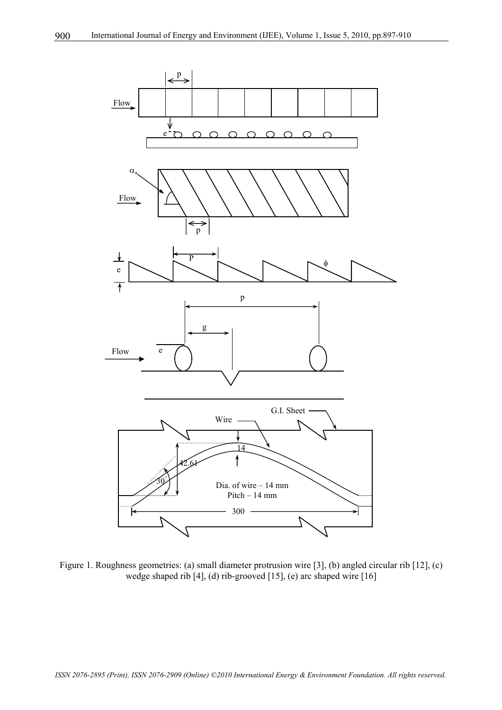

Figure 1. Roughness geometries: (a) small diameter protrusion wire [3], (b) angled circular rib [12], (c) wedge shaped rib [4], (d) rib-grooved [15], (e) arc shaped wire [16]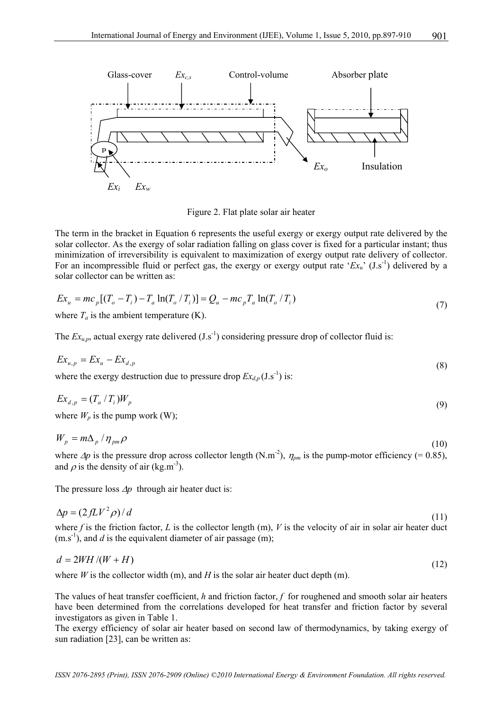

Figure 2. Flat plate solar air heater

The term in the bracket in Equation 6 represents the useful exergy or exergy output rate delivered by the solar collector. As the exergy of solar radiation falling on glass cover is fixed for a particular instant; thus minimization of irreversibility is equivalent to maximization of exergy output rate delivery of collector. For an incompressible fluid or perfect gas, the exergy or exergy output rate ' $Ex<sub>u</sub>$ ' (J.s<sup>-1</sup>) delivered by a solar collector can be written as:

$$
Ex_{u} = mc_{p}[(T_{o} - T_{i}) - T_{a}\ln(T_{o}/T_{i})] = Q_{u} - mc_{p}T_{a}\ln(T_{o}/T_{i})
$$
\n(7)

where  $T_a$  is the ambient temperature  $(K)$ .

The  $Ex_{\mu}$ , actual exergy rate delivered  $(J.s^{-1})$  considering pressure drop of collector fluid is:

$$
Ex_{u,p} = Ex_u - Ex_{d,p} \tag{8}
$$

where the exergy destruction due to pressure drop  $Ex_{d,p}(\text{J.s}^{-1})$  is:

$$
Ex_{d,p} = (T_a / T_i)W_p
$$
\n<sup>(9)</sup>

where  $W_p$  is the pump work (W);

$$
W_p = m\Delta_p / \eta_{pm} \rho \tag{10}
$$

where  $\Delta p$  is the pressure drop across collector length (N.m<sup>-2</sup>),  $\eta_{\text{pm}}$  is the pump-motor efficiency (= 0.85), and  $\rho$  is the density of air (kg.m<sup>-3</sup>).

The pressure loss ∆*p* through air heater duct is:

$$
\Delta p = (2fLV^2\rho)/d\tag{11}
$$

where f is the friction factor, L is the collector length  $(m)$ , V is the velocity of air in solar air heater duct  $(m.s<sup>-1</sup>)$ , and *d* is the equivalent diameter of air passage (m);

$$
d = 2WH / (W + H) \tag{12}
$$

where  $W$  is the collector width (m), and  $H$  is the solar air heater duct depth (m).

The values of heat transfer coefficient, *h* and friction factor, *f* for roughened and smooth solar air heaters have been determined from the correlations developed for heat transfer and friction factor by several investigators as given in Table 1.

The exergy efficiency of solar air heater based on second law of thermodynamics, by taking exergy of sun radiation [23], can be written as: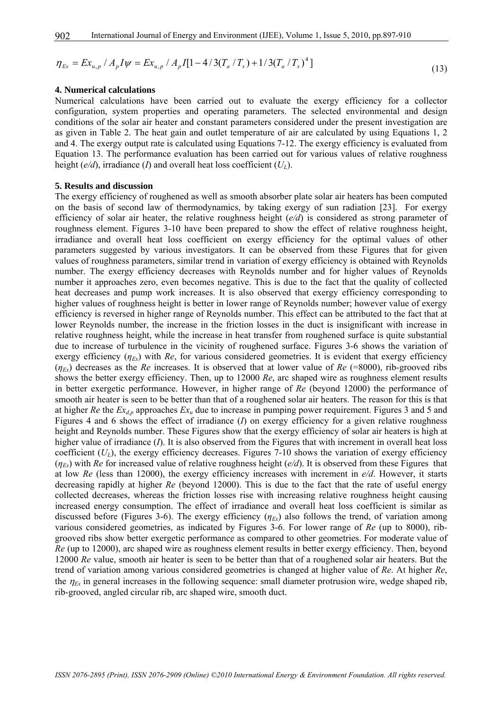$$
\eta_{Ex} = Ex_{u,p} / A_p I \psi = Ex_{u,p} / A_p I [1 - 4/3(T_a / T_s) + 1/3(T_a / T_s)^4]
$$
\n(13)

#### **4. Numerical calculations**

Numerical calculations have been carried out to evaluate the exergy efficiency for a collector configuration, system properties and operating parameters. The selected environmental and design conditions of the solar air heater and constant parameters considered under the present investigation are as given in Table 2. The heat gain and outlet temperature of air are calculated by using Equations 1, 2 and 4. The exergy output rate is calculated using Equations 7-12. The exergy efficiency is evaluated from Equation 13. The performance evaluation has been carried out for various values of relative roughness height ( $e/d$ ), irradiance (*I*) and overall heat loss coefficient ( $U_L$ ).

#### **5. Results and discussion**

The exergy efficiency of roughened as well as smooth absorber plate solar air heaters has been computed on the basis of second law of thermodynamics, by taking exergy of sun radiation [23]. For exergy efficiency of solar air heater, the relative roughness height (*e/d*) is considered as strong parameter of roughness element. Figures 3-10 have been prepared to show the effect of relative roughness height, irradiance and overall heat loss coefficient on exergy efficiency for the optimal values of other parameters suggested by various investigators. It can be observed from these Figures that for given values of roughness parameters, similar trend in variation of exergy efficiency is obtained with Reynolds number. The exergy efficiency decreases with Reynolds number and for higher values of Reynolds number it approaches zero, even becomes negative. This is due to the fact that the quality of collected heat decreases and pump work increases. It is also observed that exergy efficiency corresponding to higher values of roughness height is better in lower range of Reynolds number; however value of exergy efficiency is reversed in higher range of Reynolds number. This effect can be attributed to the fact that at lower Reynolds number, the increase in the friction losses in the duct is insignificant with increase in relative roughness height, while the increase in heat transfer from roughened surface is quite substantial due to increase of turbulence in the vicinity of roughened surface. Figures 3-6 shows the variation of exergy efficiency  $(\eta_{E_x})$  with *Re*, for various considered geometries. It is evident that exergy efficiency  $(\eta_{Ex})$  decreases as the *Re* increases. It is observed that at lower value of *Re* (=8000), rib-grooved ribs shows the better exergy efficiency. Then, up to 12000 *Re*, arc shaped wire as roughness element results in better exergetic performance. However, in higher range of *Re* (beyond 12000) the performance of smooth air heater is seen to be better than that of a roughened solar air heaters. The reason for this is that at higher *Re* the  $Ex_{d,p}$  approaches  $Ex_u$  due to increase in pumping power requirement. Figures 3 and 5 and Figures 4 and 6 shows the effect of irradiance (*I*) on exergy efficiency for a given relative roughness height and Reynolds number. These Figures show that the exergy efficiency of solar air heaters is high at higher value of irradiance (*I*). It is also observed from the Figures that with increment in overall heat loss coefficient  $(U_L)$ , the exergy efficiency decreases. Figures 7-10 shows the variation of exergy efficiency  $(\eta_{Ex})$  with *Re* for increased value of relative roughness height (*e/d*). It is observed from these Figures that at low *Re* (less than 12000), the exergy efficiency increases with increment in *e/d*. However, it starts decreasing rapidly at higher *Re* (beyond 12000). This is due to the fact that the rate of useful energy collected decreases, whereas the friction losses rise with increasing relative roughness height causing increased energy consumption. The effect of irradiance and overall heat loss coefficient is similar as discussed before (Figures 3-6). The exergy efficiency  $(\eta_{Ex})$  also follows the trend, of variation among various considered geometries, as indicated by Figures 3-6. For lower range of *Re* (up to 8000), ribgrooved ribs show better exergetic performance as compared to other geometries. For moderate value of *Re* (up to 12000), arc shaped wire as roughness element results in better exergy efficiency. Then, beyond 12000 *Re* value, smooth air heater is seen to be better than that of a roughened solar air heaters. But the trend of variation among various considered geometries is changed at higher value of *Re*. At higher *Re*, the  $\eta_{Ex}$  in general increases in the following sequence: small diameter protrusion wire, wedge shaped rib, rib-grooved, angled circular rib, arc shaped wire, smooth duct.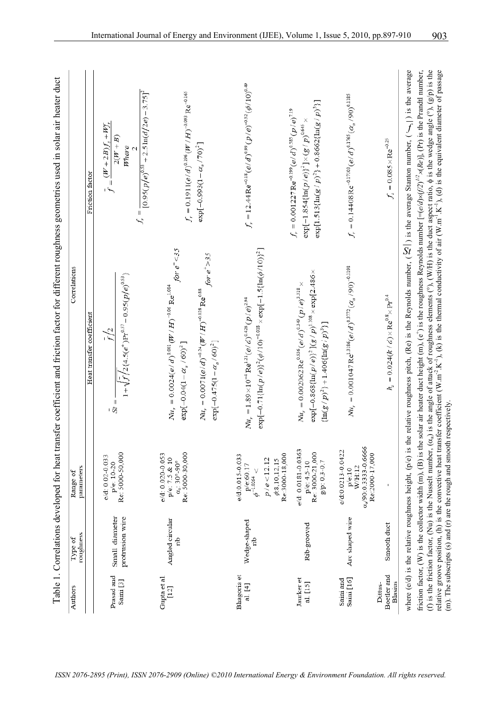| Authors                                                                | roughness<br>Type of              | parameters<br>Range of                                                                                   | Correlations                                                                                                                                                                                                                                                                                                                                                                                                                                                                                                                                                                                                                                                                                                                                                                                                                                                                                      |                                                                                                                                                                                           |
|------------------------------------------------------------------------|-----------------------------------|----------------------------------------------------------------------------------------------------------|---------------------------------------------------------------------------------------------------------------------------------------------------------------------------------------------------------------------------------------------------------------------------------------------------------------------------------------------------------------------------------------------------------------------------------------------------------------------------------------------------------------------------------------------------------------------------------------------------------------------------------------------------------------------------------------------------------------------------------------------------------------------------------------------------------------------------------------------------------------------------------------------------|-------------------------------------------------------------------------------------------------------------------------------------------------------------------------------------------|
|                                                                        |                                   |                                                                                                          | Heat transfer coefficient                                                                                                                                                                                                                                                                                                                                                                                                                                                                                                                                                                                                                                                                                                                                                                                                                                                                         | Friction factor                                                                                                                                                                           |
| Prasad and<br>Saini [3]                                                | protrusion wire<br>Small diameter | Re: 5000-50,000<br>$e/d: 0.02 - 0.033$<br>p/e: 10-20                                                     | $1+\sqrt{f/2}$ {4.5(e <sup>+</sup> )Pr <sup>0.57</sup> - 0.95(p/e) <sup>0.53</sup> }<br>f/2<br>$St =$                                                                                                                                                                                                                                                                                                                                                                                                                                                                                                                                                                                                                                                                                                                                                                                             | $f_r = \frac{[0.95(p/e)^{0.53} + 2.5 \ln(d/2e) - 3.75]^2}{[0.95(p/e)^{0.53} + 2.5 \ln(d/2e) - 3.75]^2}$<br>$\vec{f} = \frac{(W + 2B)f_s + Wf_s}{(W + 2B)f_s + Wf_s}$<br>$2(W+B)$<br>Where |
| Gupta et al.<br>$[12]$                                                 | Angled circular                   | Re: 5000-30,000<br>e/d: 0.020-0.053<br>p/e: 7.5 & 10<br>$\alpha_{\rm a}$ : 30°-90°                       | for $e^+$ < 35<br>$Nu_r = 0.0024(e/d)^{0.001} (W/H)^{-0.06} \text{Re}^{1.084}$<br>$\exp[-0.04(1-\alpha_a/60)^2]$                                                                                                                                                                                                                                                                                                                                                                                                                                                                                                                                                                                                                                                                                                                                                                                  | $f_r = 0.1911(e/d)^{0.196} (W/H)^{-0.093} \text{Re}^{-0.165}$                                                                                                                             |
|                                                                        |                                   |                                                                                                          | for $e^+$ > 35<br>$N u_t = 0.0071 (e/d)^{-0.24} (W/H)^{-0.028} \text{Re}^{0.88}$<br>$\exp[-0.475(1-\alpha_{\rm a}/60)^2]$                                                                                                                                                                                                                                                                                                                                                                                                                                                                                                                                                                                                                                                                                                                                                                         | $\exp[-0.993(1-\alpha_a/70)^2]$                                                                                                                                                           |
| Bhagoria et<br>al. [4]                                                 | Wedge-shaped                      | Re:3000-18,000<br>e/d:0.015-0.033<br>p/e < 12.12<br>$\phi$ 8,10,12,15<br>p/e:60.17<br>$\phi^{-1.0264} <$ | $\exp[-0.71\{\ln(p/\epsilon)\}^2(\phi/10)^{-0.018}\times \exp[-1.5\{\ln(\phi/10)\}^2]$<br>$Nu_r = 1.89 \times 10^{-4} \text{ Re}^{1.21}(e/d)^{0.426} (p/e)^{2.94}$                                                                                                                                                                                                                                                                                                                                                                                                                                                                                                                                                                                                                                                                                                                                | $f_r = 12.44 \text{Re}^{-0.18} (e/d)^{0.99} (p/e)^{-0.52} (\phi/10)^{0.49}$                                                                                                               |
| Jaurker et<br>al. [15]                                                 | Rib-grooved                       | e/d: 0.0181-0.0363<br>Re: 3000-21,000<br>p/e: 4.5-10<br>g/p: 0.3-0.7                                     | $\exp[-0.868\{\ln(p/e)\}^2\} (g/p)^{1.108}\times \exp[2.486\times$<br>$Nu_{r} = 0.002062 \text{Re}^{0.936} (e/d)^{0.349} (p/e)^{3.318} \times$<br>$\{\ln(g/p)^2\} + 1.406\{\ln(g/p)^3\}\}$                                                                                                                                                                                                                                                                                                                                                                                                                                                                                                                                                                                                                                                                                                        | $\exp[1.513\{\ln(g/p)^2\}+0.8662\{\ln(g/p)^3\}]$<br>$f_r = 0.001227 \text{Re}^{-0.199} (e/d)^{0.585} (p/e)^{7.19}$<br>$\exp[-1.854\{\ln(p/\it{e})\}^2]\times (g/\it{p})^{0.645}\times$    |
| Saini [16]<br>Saini and                                                | Arc shaped wire                   | $\alpha_a/90.0.33333.0.6666$<br>e/d:0.0213-0.0422<br>Re:2000-17,000<br>W/H:12<br>p/e:10                  | $Nu_r = 0.001047 \text{ Re}^{1.3186} (e/d)^{0.3772} (\alpha_a/90)^{-0.1198}$                                                                                                                                                                                                                                                                                                                                                                                                                                                                                                                                                                                                                                                                                                                                                                                                                      | $f_r = 0.14408 \text{Re}^{-0.17103} (e/d)^{0.1765} (\alpha_a/90)^{0.1185}$                                                                                                                |
| Boetler and<br>Blasius<br>Dittus-                                      | Smooth duct                       |                                                                                                          | $h_{\rm s} = 0.024(k/d) \times \mathrm{Re}^{0.8} \times \mathrm{Pr}^{0.4}$                                                                                                                                                                                                                                                                                                                                                                                                                                                                                                                                                                                                                                                                                                                                                                                                                        | $f_s = 0.085 \times Re^{-0.25}$                                                                                                                                                           |
| (m). The subscripts (s) and (r) are the rough and smooth respectively. |                                   |                                                                                                          | where (e/d) is the relative roughness height, (p/e) is the relative roughness pitch, (Re) is the Reynolds number, ( $\mathbb{R}$ ) is the average Stanton number, ( $\leftarrow$ ) is the average<br>friction factor, (W) is the collector width (m), (B) is the solar air heater duct height (m), (e <sup>+</sup> ) is the roughness Reynolds number $[=(e/d) \times (f/2)^{1/2} \times (Re)]$ , (Pr) is the Prandtl number,<br>(f) is the friction factor, (Nu) is the Nusselt number, $(\alpha_a)$ is the angle of attack of roughness elements ( $\degree$ ), (W/H) is the duct aspect ratio, $\phi$ is the wedge angle ( $\degree$ ), (g/p) is the<br>relative groove position, (h) is the convective heat transfer coefficient (W.m <sup>2</sup> .K <sup>-1</sup> ), (k) is the thermal conductivity of air (W.m <sup>3</sup> .K <sup>-1</sup> ), (d) is the equivalent diameter of passage |                                                                                                                                                                                           |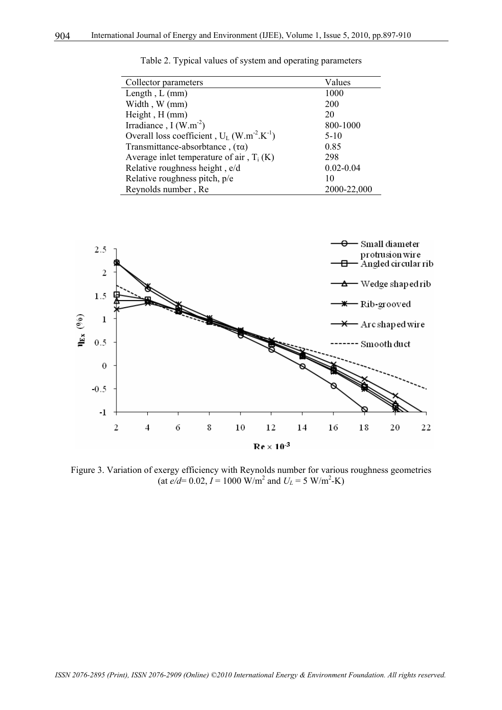| Collector parameters                                                  | Values        |
|-----------------------------------------------------------------------|---------------|
| Length, $L$ (mm)                                                      | 1000          |
| Width, W (mm)                                                         | 200           |
| Height, H (mm)                                                        | 20            |
| Irradiance, $I(W.m^{-2})$                                             | 800-1000      |
| Overall loss coefficient, $U_L$ (W.m <sup>-2</sup> .K <sup>-1</sup> ) | $5-10$        |
| Transmittance-absorbtance, $(\tau \alpha)$                            | 0.85          |
| Average inlet temperature of air, $T_i(K)$                            | 298           |
| Relative roughness height, e/d                                        | $0.02 - 0.04$ |
| Relative roughness pitch, p/e                                         | 10            |
| Reynolds number, Re                                                   | 2000-22,000   |

Table 2. Typical values of system and operating parameters



Figure 3. Variation of exergy efficiency with Reynolds number for various roughness geometries  $(\text{at } e/d = 0.02, I = 1000 \text{ W/m}^2 \text{ and } U_L = 5 \text{ W/m}^2 \text{-K})$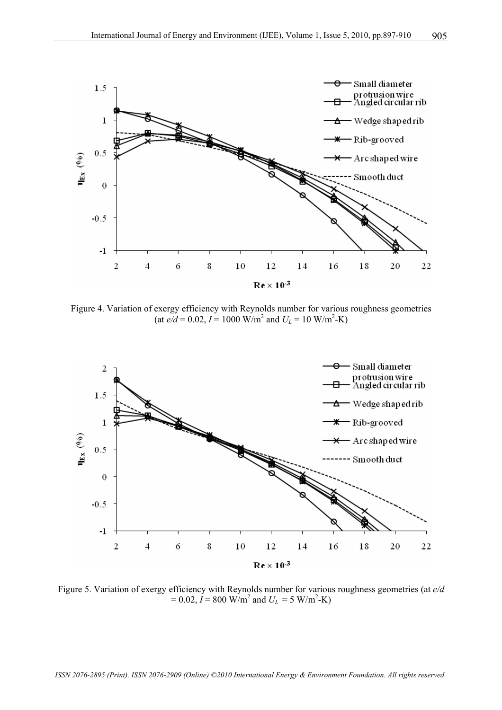

Figure 4. Variation of exergy efficiency with Reynolds number for various roughness geometries  $(at e/d = 0.02, I = 1000 W/m<sup>2</sup> and U<sub>L</sub> = 10 W/m<sup>2</sup>-K)$ 



Figure 5. Variation of exergy efficiency with Reynolds number for various roughness geometries (at *e/d*   $= 0.02, I = 800$  W/m<sup>2</sup> and  $U_L = 5$  W/m<sup>2</sup>-K)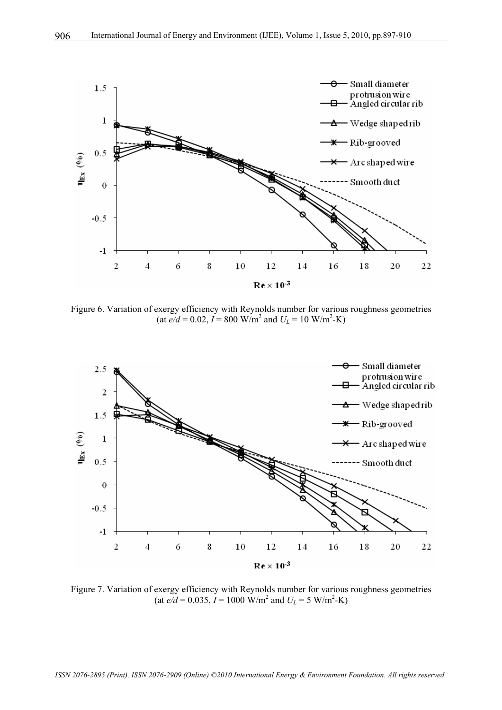

Figure 6. Variation of exergy efficiency with Reynolds number for various roughness geometries  $(at e/d = 0.02, I = 800 W/m<sup>2</sup> and U<sub>L</sub> = 10 W/m<sup>2</sup>-K)$ 



Figure 7. Variation of exergy efficiency with Reynolds number for various roughness geometries  $(at e/d = 0.035, I = 1000 \text{ W/m}^2 \text{ and } U_L = 5 \text{ W/m}^2\text{-K})$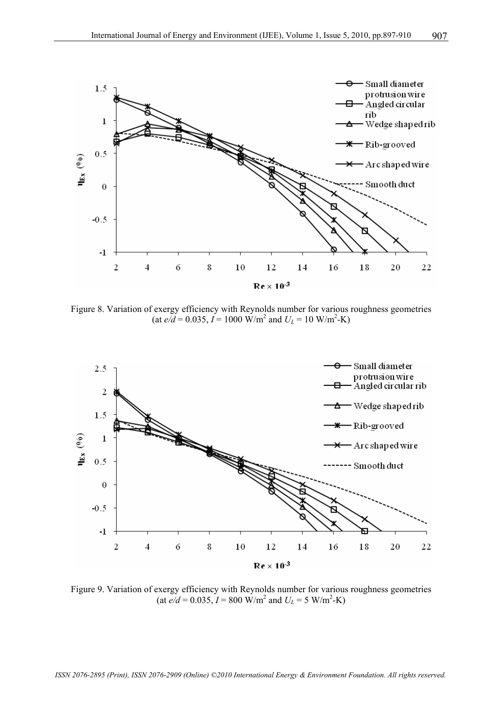

Figure 8. Variation of exergy efficiency with Reynolds number for various roughness geometries  $(at e/d = 0.035, I = 1000 W/m<sup>2</sup> and U<sub>L</sub> = 10 W/m<sup>2</sup>-K)$ 



Figure 9. Variation of exergy efficiency with Reynolds number for various roughness geometries  $(at e/d = 0.035, I = 800 \text{ W/m}^2 \text{ and } U_L = 5 \text{ W/m}^2\text{-K})$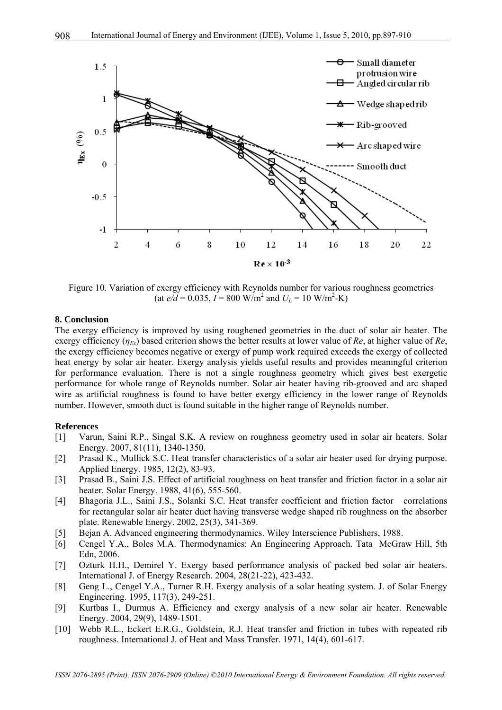

Figure 10. Variation of exergy efficiency with Reynolds number for various roughness geometries  $(at e/d = 0.035, I = 800 \text{ W/m}^2 \text{ and } U_L = 10 \text{ W/m}^2\text{-K})$ 

#### **8. Conclusion**

The exergy efficiency is improved by using roughened geometries in the duct of solar air heater. The exergy efficiency  $(\eta_{Fx})$  based criterion shows the better results at lower value of *Re*, at higher value of *Re*, the exergy efficiency becomes negative or exergy of pump work required exceeds the exergy of collected heat energy by solar air heater. Exergy analysis yields useful results and provides meaningful criterion for performance evaluation. There is not a single roughness geometry which gives best exergetic performance for whole range of Reynolds number. Solar air heater having rib-grooved and arc shaped wire as artificial roughness is found to have better exergy efficiency in the lower range of Reynolds number. However, smooth duct is found suitable in the higher range of Reynolds number.

#### **References**

- [1] Varun, Saini R.P., Singal S.K. A review on roughness geometry used in solar air heaters. Solar Energy. 2007, 81(11), 1340-1350.
- [2] Prasad K., Mullick S.C. Heat transfer characteristics of a solar air heater used for drying purpose. Applied Energy. 1985, 12(2), 83-93.
- [3] Prasad B., Saini J.S. Effect of artificial roughness on heat transfer and friction factor in a solar air heater. Solar Energy. 1988, 41(6), 555-560.
- [4] Bhagoria J.L., Saini J.S., Solanki S.C. Heat transfer coefficient and friction factor correlations for rectangular solar air heater duct having transverse wedge shaped rib roughness on the absorber plate. Renewable Energy. 2002, 25(3), 341-369.
- [5] Bejan A. Advanced engineering thermodynamics. Wiley Interscience Publishers, 1988.
- [6] Cengel Y.A., Boles M.A. Thermodynamics: An Engineering Approach. Tata McGraw Hill, 5th Edn, 2006.
- [7] Ozturk H.H., Demirel Y. Exergy based performance analysis of packed bed solar air heaters. International J. of Energy Research. 2004, 28(21-22), 423-432.
- [8] Geng L., Cengel Y.A., Turner R.H. Exergy analysis of a solar heating system. J. of Solar Energy Engineering. 1995, 117(3), 249-251.
- [9] Kurtbas I., Durmus A. Efficiency and exergy analysis of a new solar air heater. Renewable Energy. 2004, 29(9), 1489-1501.
- [10] Webb R.L., Eckert E.R.G., Goldstein, R.J. Heat transfer and friction in tubes with repeated rib roughness. International J. of Heat and Mass Transfer. 1971, 14(4), 601-617.